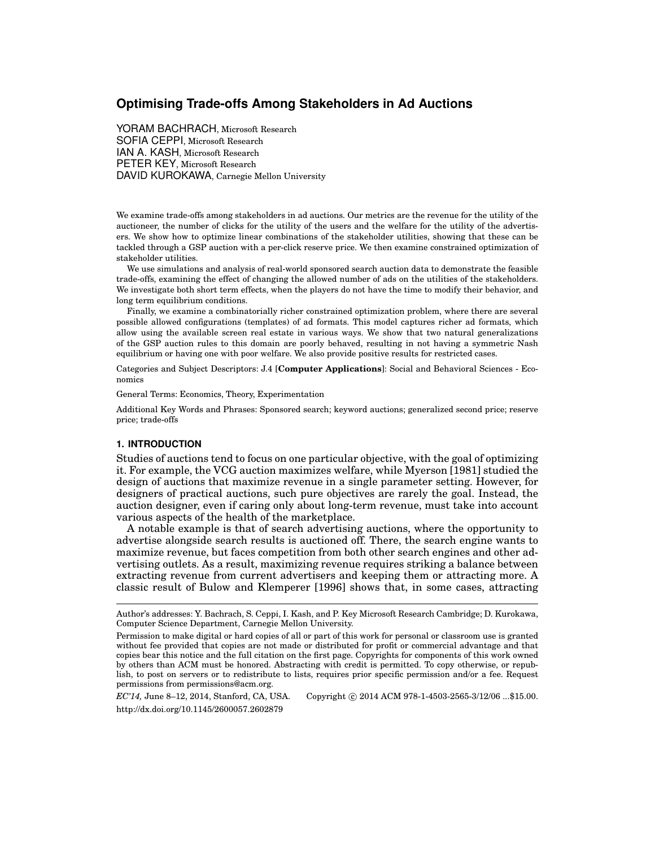# **Optimising Trade-offs Among Stakeholders in Ad Auctions**

YORAM BACHRACH, Microsoft Research SOFIA CEPPI, Microsoft Research IAN A. KASH, Microsoft Research PETER KEY, Microsoft Research DAVID KUROKAWA, Carnegie Mellon University

We examine trade-offs among stakeholders in ad auctions. Our metrics are the revenue for the utility of the auctioneer, the number of clicks for the utility of the users and the welfare for the utility of the advertisers. We show how to optimize linear combinations of the stakeholder utilities, showing that these can be tackled through a GSP auction with a per-click reserve price. We then examine constrained optimization of stakeholder utilities.

We use simulations and analysis of real-world sponsored search auction data to demonstrate the feasible trade-offs, examining the effect of changing the allowed number of ads on the utilities of the stakeholders. We investigate both short term effects, when the players do not have the time to modify their behavior, and long term equilibrium conditions.

Finally, we examine a combinatorially richer constrained optimization problem, where there are several possible allowed configurations (templates) of ad formats. This model captures richer ad formats, which allow using the available screen real estate in various ways. We show that two natural generalizations of the GSP auction rules to this domain are poorly behaved, resulting in not having a symmetric Nash equilibrium or having one with poor welfare. We also provide positive results for restricted cases.

Categories and Subject Descriptors: J.4 [**Computer Applications**]: Social and Behavioral Sciences - Economics

General Terms: Economics, Theory, Experimentation

Additional Key Words and Phrases: Sponsored search; keyword auctions; generalized second price; reserve price; trade-offs

#### **1. INTRODUCTION**

Studies of auctions tend to focus on one particular objective, with the goal of optimizing it. For example, the VCG auction maximizes welfare, while Myerson [1981] studied the design of auctions that maximize revenue in a single parameter setting. However, for designers of practical auctions, such pure objectives are rarely the goal. Instead, the auction designer, even if caring only about long-term revenue, must take into account various aspects of the health of the marketplace.

A notable example is that of search advertising auctions, where the opportunity to advertise alongside search results is auctioned off. There, the search engine wants to maximize revenue, but faces competition from both other search engines and other advertising outlets. As a result, maximizing revenue requires striking a balance between extracting revenue from current advertisers and keeping them or attracting more. A classic result of Bulow and Klemperer [1996] shows that, in some cases, attracting

*EC'14,* June 8–12, 2014, Stanford, CA, USA. Copyright *⃝*c 2014 ACM 978-1-4503-2565-3/12/06 ...\$15.00. http://dx.doi.org/10.1145/2600057.2602879

Author's addresses: Y. Bachrach, S. Ceppi, I. Kash, and P. Key Microsoft Research Cambridge; D. Kurokawa, Computer Science Department, Carnegie Mellon University.

Permission to make digital or hard copies of all or part of this work for personal or classroom use is granted without fee provided that copies are not made or distributed for profit or commercial advantage and that copies bear this notice and the full citation on the first page. Copyrights for components of this work owned by others than ACM must be honored. Abstracting with credit is permitted. To copy otherwise, or republish, to post on servers or to redistribute to lists, requires prior specific permission and/or a fee. Request permissions from permissions@acm.org.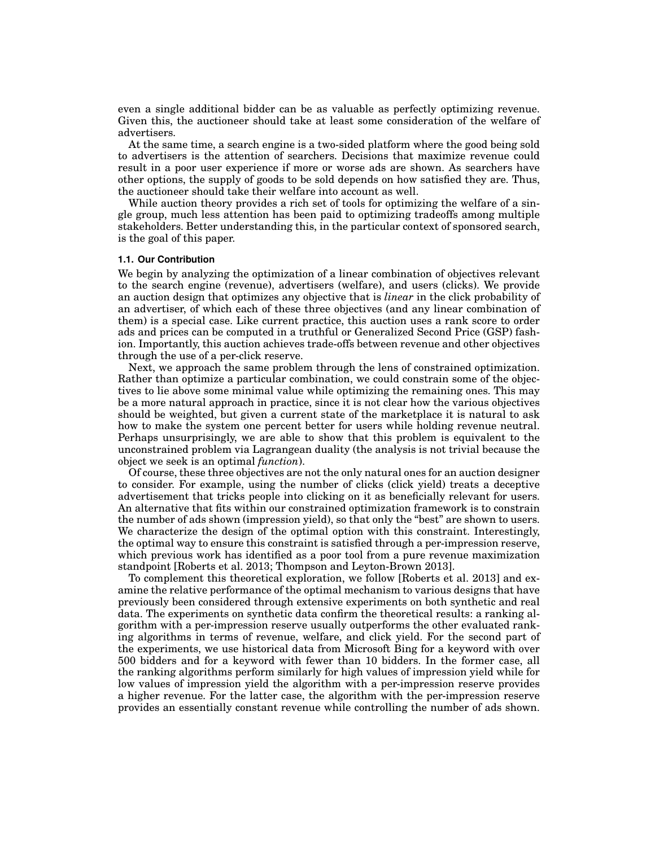even a single additional bidder can be as valuable as perfectly optimizing revenue. Given this, the auctioneer should take at least some consideration of the welfare of advertisers.

At the same time, a search engine is a two-sided platform where the good being sold to advertisers is the attention of searchers. Decisions that maximize revenue could result in a poor user experience if more or worse ads are shown. As searchers have other options, the supply of goods to be sold depends on how satisfied they are. Thus, the auctioneer should take their welfare into account as well.

While auction theory provides a rich set of tools for optimizing the welfare of a single group, much less attention has been paid to optimizing tradeoffs among multiple stakeholders. Better understanding this, in the particular context of sponsored search, is the goal of this paper.

## **1.1. Our Contribution**

We begin by analyzing the optimization of a linear combination of objectives relevant to the search engine (revenue), advertisers (welfare), and users (clicks). We provide an auction design that optimizes any objective that is *linear* in the click probability of an advertiser, of which each of these three objectives (and any linear combination of them) is a special case. Like current practice, this auction uses a rank score to order ads and prices can be computed in a truthful or Generalized Second Price (GSP) fashion. Importantly, this auction achieves trade-offs between revenue and other objectives through the use of a per-click reserve.

Next, we approach the same problem through the lens of constrained optimization. Rather than optimize a particular combination, we could constrain some of the objectives to lie above some minimal value while optimizing the remaining ones. This may be a more natural approach in practice, since it is not clear how the various objectives should be weighted, but given a current state of the marketplace it is natural to ask how to make the system one percent better for users while holding revenue neutral. Perhaps unsurprisingly, we are able to show that this problem is equivalent to the unconstrained problem via Lagrangean duality (the analysis is not trivial because the object we seek is an optimal *function*).

Of course, these three objectives are not the only natural ones for an auction designer to consider. For example, using the number of clicks (click yield) treats a deceptive advertisement that tricks people into clicking on it as beneficially relevant for users. An alternative that fits within our constrained optimization framework is to constrain the number of ads shown (impression yield), so that only the "best" are shown to users. We characterize the design of the optimal option with this constraint. Interestingly, the optimal way to ensure this constraint is satisfied through a per-impression reserve, which previous work has identified as a poor tool from a pure revenue maximization standpoint [Roberts et al. 2013; Thompson and Leyton-Brown 2013].

To complement this theoretical exploration, we follow [Roberts et al. 2013] and examine the relative performance of the optimal mechanism to various designs that have previously been considered through extensive experiments on both synthetic and real data. The experiments on synthetic data confirm the theoretical results: a ranking algorithm with a per-impression reserve usually outperforms the other evaluated ranking algorithms in terms of revenue, welfare, and click yield. For the second part of the experiments, we use historical data from Microsoft Bing for a keyword with over 500 bidders and for a keyword with fewer than 10 bidders. In the former case, all the ranking algorithms perform similarly for high values of impression yield while for low values of impression yield the algorithm with a per-impression reserve provides a higher revenue. For the latter case, the algorithm with the per-impression reserve provides an essentially constant revenue while controlling the number of ads shown.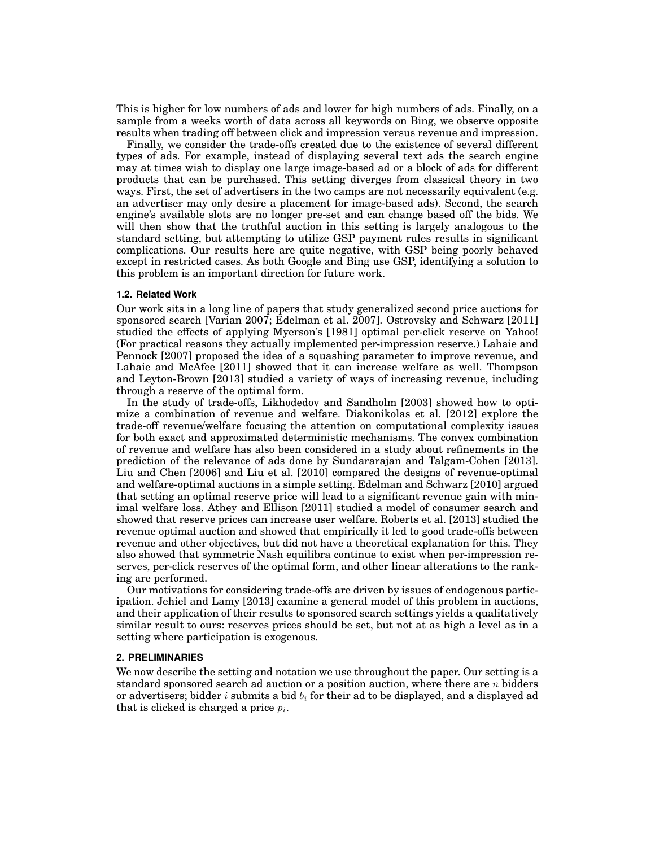This is higher for low numbers of ads and lower for high numbers of ads. Finally, on a sample from a weeks worth of data across all keywords on Bing, we observe opposite results when trading off between click and impression versus revenue and impression.

Finally, we consider the trade-offs created due to the existence of several different types of ads. For example, instead of displaying several text ads the search engine may at times wish to display one large image-based ad or a block of ads for different products that can be purchased. This setting diverges from classical theory in two ways. First, the set of advertisers in the two camps are not necessarily equivalent (e.g. an advertiser may only desire a placement for image-based ads). Second, the search engine's available slots are no longer pre-set and can change based off the bids. We will then show that the truthful auction in this setting is largely analogous to the standard setting, but attempting to utilize GSP payment rules results in significant complications. Our results here are quite negative, with GSP being poorly behaved except in restricted cases. As both Google and Bing use GSP, identifying a solution to this problem is an important direction for future work.

### **1.2. Related Work**

Our work sits in a long line of papers that study generalized second price auctions for sponsored search [Varian 2007; Edelman et al. 2007]. Ostrovsky and Schwarz [2011] studied the effects of applying Myerson's [1981] optimal per-click reserve on Yahoo! (For practical reasons they actually implemented per-impression reserve.) Lahaie and Pennock [2007] proposed the idea of a squashing parameter to improve revenue, and Lahaie and McAfee [2011] showed that it can increase welfare as well. Thompson and Leyton-Brown [2013] studied a variety of ways of increasing revenue, including through a reserve of the optimal form.

In the study of trade-offs, Likhodedov and Sandholm [2003] showed how to optimize a combination of revenue and welfare. Diakonikolas et al. [2012] explore the trade-off revenue/welfare focusing the attention on computational complexity issues for both exact and approximated deterministic mechanisms. The convex combination of revenue and welfare has also been considered in a study about refinements in the prediction of the relevance of ads done by Sundararajan and Talgam-Cohen [2013]. Liu and Chen [2006] and Liu et al. [2010] compared the designs of revenue-optimal and welfare-optimal auctions in a simple setting. Edelman and Schwarz [2010] argued that setting an optimal reserve price will lead to a significant revenue gain with minimal welfare loss. Athey and Ellison [2011] studied a model of consumer search and showed that reserve prices can increase user welfare. Roberts et al. [2013] studied the revenue optimal auction and showed that empirically it led to good trade-offs between revenue and other objectives, but did not have a theoretical explanation for this. They also showed that symmetric Nash equilibra continue to exist when per-impression reserves, per-click reserves of the optimal form, and other linear alterations to the ranking are performed.

Our motivations for considering trade-offs are driven by issues of endogenous participation. Jehiel and Lamy [2013] examine a general model of this problem in auctions, and their application of their results to sponsored search settings yields a qualitatively similar result to ours: reserves prices should be set, but not at as high a level as in a setting where participation is exogenous.

### **2. PRELIMINARIES**

We now describe the setting and notation we use throughout the paper. Our setting is a standard sponsored search ad auction or a position auction, where there are *n* bidders or advertisers; bidder *i* submits a bid *b<sup>i</sup>* for their ad to be displayed, and a displayed ad that is clicked is charged a price *p<sup>i</sup>* .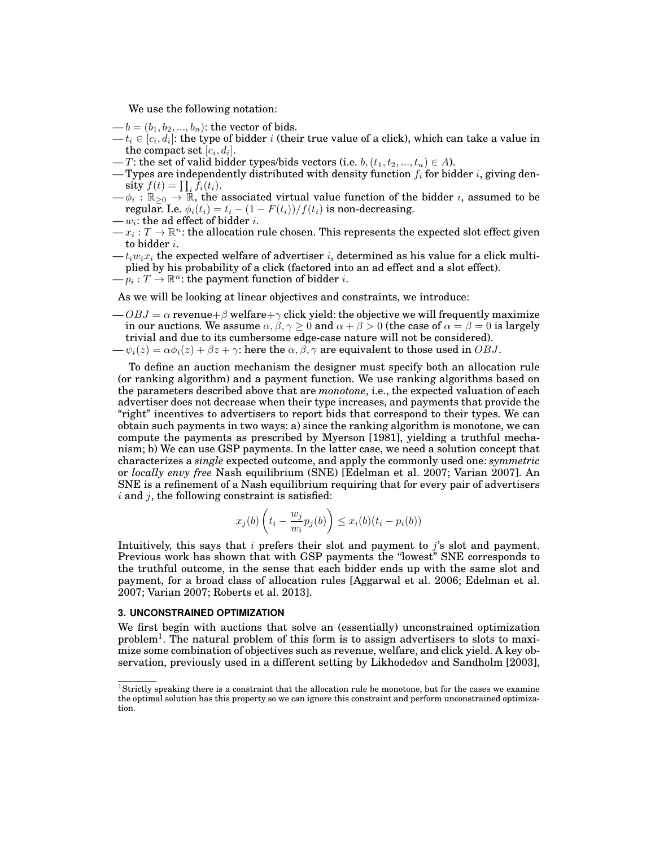We use the following notation:

 $-b = (b_1, b_2, ..., b_n)$ : the vector of bids.

- $t_i \in [c_i, d_i]$ : the type of bidder  $i$  (their true value of a click), which can take a value in the compact set  $[c_i, d_i]$ .
- *T*: the set of valid bidder types/bids vectors (i.e.  $b, (t_1, t_2, ..., t_n) \in A$ ).
- Types are independently distributed with density function *f<sup>i</sup>* for bidder *i*, giving den- $\textbf{sity}\; f(t) = \prod_i \bar{f}_i(t_i).$
- $-\phi_i : \mathbb{R}_{\geq 0} \to \mathbb{R}$ , the associated virtual value function of the bidder *i*, assumed to be regular. I.e.  $\phi_i(t_i) = t_i - (1 - F(t_i))/f(t_i)$  is non-decreasing.
- $-w_i$ : the ad effect of bidder *i*.
- $x_i : T \to \mathbb{R}^n$ : the allocation rule chosen. This represents the expected slot effect given to bidder *i*.
- $-t_iw_ix_i$  the expected welfare of advertiser *i*, determined as his value for a click multiplied by his probability of a click (factored into an ad effect and a slot effect).
- $\longrightarrow p_i : T \rightarrow \mathbb{R}^n$ : the payment function of bidder *i*.
- As we will be looking at linear objectives and constraints, we introduce:
- $-\frac{OBJ}{\sigma} = \alpha$  revenue $+\beta$  welfare $+\gamma$  click yield: the objective we will frequently maximize in our auctions. We assume  $\alpha, \beta, \gamma \ge 0$  and  $\alpha + \beta > 0$  (the case of  $\alpha = \beta = 0$  is largely trivial and due to its cumbersome edge-case nature will not be considered).
- $-\psi_i(z) = \alpha \phi_i(z) + \beta z + \gamma$ : here the  $\alpha, \beta, \gamma$  are equivalent to those used in *OBJ*.

To define an auction mechanism the designer must specify both an allocation rule (or ranking algorithm) and a payment function. We use ranking algorithms based on the parameters described above that are *monotone*, i.e., the expected valuation of each advertiser does not decrease when their type increases, and payments that provide the "right" incentives to advertisers to report bids that correspond to their types. We can obtain such payments in two ways: a) since the ranking algorithm is monotone, we can compute the payments as prescribed by Myerson [1981], yielding a truthful mechanism; b) We can use GSP payments. In the latter case, we need a solution concept that characterizes a *single* expected outcome, and apply the commonly used one: *symmetric* or *locally envy free* Nash equilibrium (SNE) [Edelman et al. 2007; Varian 2007]. An SNE is a refinement of a Nash equilibrium requiring that for every pair of advertisers *i* and *j*, the following constraint is satisfied:

$$
x_j(b)\left(t_i-\frac{w_j}{w_i}p_j(b)\right)\leq x_i(b)(t_i-p_i(b))
$$

Intuitively, this says that *i* prefers their slot and payment to *j*'s slot and payment. Previous work has shown that with GSP payments the "lowest" SNE corresponds to the truthful outcome, in the sense that each bidder ends up with the same slot and payment, for a broad class of allocation rules [Aggarwal et al. 2006; Edelman et al. 2007; Varian 2007; Roberts et al. 2013].

### **3. UNCONSTRAINED OPTIMIZATION**

We first begin with auctions that solve an (essentially) unconstrained optimization problem<sup>1</sup>. The natural problem of this form is to assign advertisers to slots to maximize some combination of objectives such as revenue, welfare, and click yield. A key observation, previously used in a different setting by Likhodedov and Sandholm [2003],

<sup>&</sup>lt;sup>1</sup>Strictly speaking there is a constraint that the allocation rule be monotone, but for the cases we examine the optimal solution has this property so we can ignore this constraint and perform unconstrained optimization.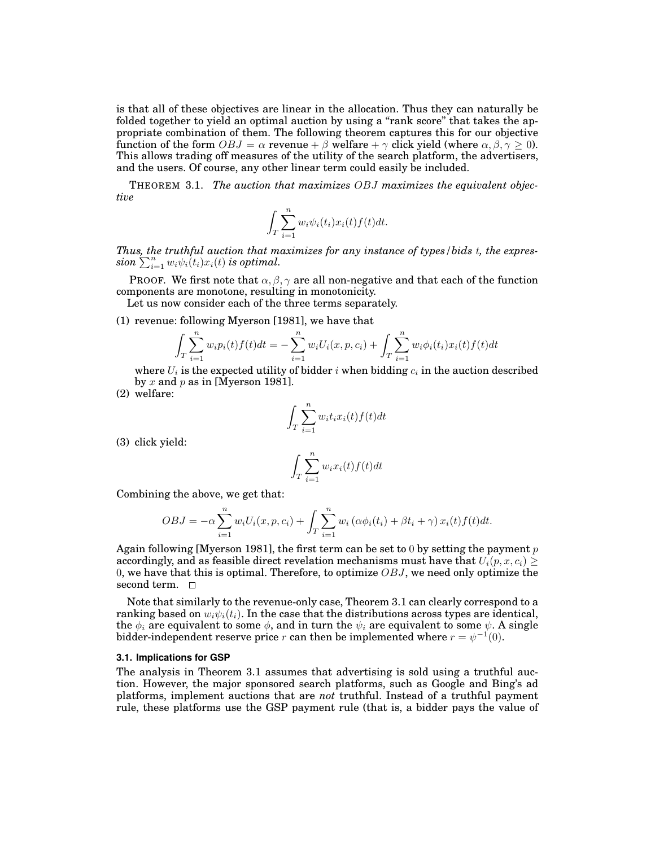is that all of these objectives are linear in the allocation. Thus they can naturally be folded together to yield an optimal auction by using a "rank score" that takes the appropriate combination of them. The following theorem captures this for our objective function of the form  $OBJ = \alpha$  revenue +  $\beta$  welfare +  $\gamma$  click yield (where  $\alpha, \beta, \gamma \ge 0$ ). This allows trading off measures of the utility of the search platform, the advertisers, and the users. Of course, any other linear term could easily be included.

THEOREM 3.1. *The auction that maximizes OBJ maximizes the equivalent objective*

$$
\int_T \sum_{i=1}^n w_i \psi_i(t_i) x_i(t) f(t) dt.
$$

*Thus, the truthful auction that maximizes for any instance of types/bids t, the expres-* $\sum_{i=1}^n w_i \psi_i(t_i) x_i(t)$  is optimal.

PROOF. We first note that  $\alpha, \beta, \gamma$  are all non-negative and that each of the function components are monotone, resulting in monotonicity.

Let us now consider each of the three terms separately.

(1) revenue: following Myerson [1981], we have that

$$
\int_{T} \sum_{i=1}^{n} w_i p_i(t) f(t) dt = -\sum_{i=1}^{n} w_i U_i(x, p, c_i) + \int_{T} \sum_{i=1}^{n} w_i \phi_i(t_i) x_i(t) f(t) dt
$$

where  $U_i$  is the expected utility of bidder  $i$  when bidding  $c_i$  in the auction described by *x* and *p* as in [Myerson 1981].

(2) welfare:

$$
\int_{T} \sum_{i=1}^{n} w_i t_i x_i(t) f(t) dt
$$

(3) click yield:

$$
\int_{T} \sum_{i=1}^{n} w_i x_i(t) f(t) dt
$$

Combining the above, we get that:

$$
OBJ = -\alpha \sum_{i=1}^{n} w_i U_i(x, p, c_i) + \int_T \sum_{i=1}^{n} w_i (\alpha \phi_i(t_i) + \beta t_i + \gamma) x_i(t) f(t) dt.
$$

Again following [Myerson 1981], the first term can be set to 0 by setting the payment *p* accordingly, and as feasible direct revelation mechanisms must have that  $U_i(p, x, c_i)$ 0, we have that this is optimal. Therefore, to optimize *OBJ*, we need only optimize the second term.  $\Box$ 

Note that similarly to the revenue-only case, Theorem 3.1 can clearly correspond to a ranking based on  $w_i \psi_i(t_i)$ . In the case that the distributions across types are identical, the  $\phi_i$  are equivalent to some  $\phi$ , and in turn the  $\psi_i$  are equivalent to some  $\psi$ . A single bidder-independent reserve price *r* can then be implemented where  $r = \psi^{-1}(0)$ .

#### **3.1. Implications for GSP**

The analysis in Theorem 3.1 assumes that advertising is sold using a truthful auction. However, the major sponsored search platforms, such as Google and Bing's ad platforms, implement auctions that are *not* truthful. Instead of a truthful payment rule, these platforms use the GSP payment rule (that is, a bidder pays the value of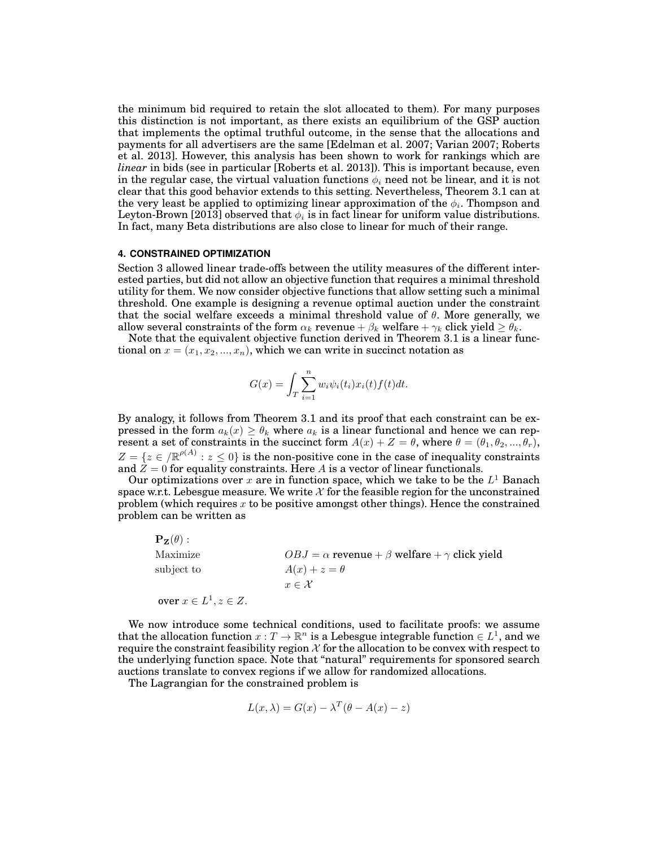the minimum bid required to retain the slot allocated to them). For many purposes this distinction is not important, as there exists an equilibrium of the GSP auction that implements the optimal truthful outcome, in the sense that the allocations and payments for all advertisers are the same [Edelman et al. 2007; Varian 2007; Roberts et al. 2013]. However, this analysis has been shown to work for rankings which are *linear* in bids (see in particular [Roberts et al. 2013]). This is important because, even in the regular case, the virtual valuation functions  $\phi_i$  need not be linear, and it is not clear that this good behavior extends to this setting. Nevertheless, Theorem 3.1 can at the very least be applied to optimizing linear approximation of the  $\phi_i.$  Thompson and Leyton-Brown [2013] observed that  $\phi_i$  is in fact linear for uniform value distributions. In fact, many Beta distributions are also close to linear for much of their range.

### **4. CONSTRAINED OPTIMIZATION**

Section 3 allowed linear trade-offs between the utility measures of the different interested parties, but did not allow an objective function that requires a minimal threshold utility for them. We now consider objective functions that allow setting such a minimal threshold. One example is designing a revenue optimal auction under the constraint that the social welfare exceeds a minimal threshold value of *θ*. More generally, we allow several constraints of the form  $\alpha_k$  revenue +  $\beta_k$  welfare +  $\gamma_k$  click yield  $\geq \theta_k$ .

Note that the equivalent objective function derived in Theorem 3.1 is a linear functional on  $x = (x_1, x_2, ..., x_n)$ , which we can write in succinct notation as

$$
G(x) = \int_T \sum_{i=1}^n w_i \psi_i(t_i) x_i(t) f(t) dt.
$$

By analogy, it follows from Theorem 3.1 and its proof that each constraint can be expressed in the form  $a_k(x) \geq \theta_k$  where  $a_k$  is a linear functional and hence we can represent a set of constraints in the succinct form  $A(x) + Z = \theta$ , where  $\theta = (\theta_1, \theta_2, ..., \theta_r)$ ,  $Z = \{z \in \mathbb{R}^{p(A)} : z \leq 0\}$  is the non-positive cone in the case of inequality constraints and  $Z = 0$  for equality constraints. Here *A* is a vector of linear functionals.

Our optimizations over  $x$  are in function space, which we take to be the  $L^1$  Banach space w.r.t. Lebesgue measure. We write  $X$  for the feasible region for the unconstrained problem (which requires *x* to be positive amongst other things). Hence the constrained problem can be written as

| $\mathbf{P}_{\mathbf{Z}}(\theta):$ |                                                                 |
|------------------------------------|-----------------------------------------------------------------|
| Maximize                           | $OBJ = \alpha$ revenue + $\beta$ welfare + $\gamma$ click yield |
| subject to                         | $A(x) + z = \theta$                                             |
|                                    | $x \in \mathcal{X}$                                             |
| over $x \in L^1, z \in Z$ .        |                                                                 |

We now introduce some technical conditions, used to facilitate proofs: we assume that the allocation function  $x: T \to \mathbb{R}^n$  is a Lebesgue integrable function  $\in L^1$ , and we require the constraint feasibility region  $X$  for the allocation to be convex with respect to the underlying function space. Note that "natural" requirements for sponsored search auctions translate to convex regions if we allow for randomized allocations.

The Lagrangian for the constrained problem is

$$
L(x, \lambda) = G(x) - \lambda^{T}(\theta - A(x) - z)
$$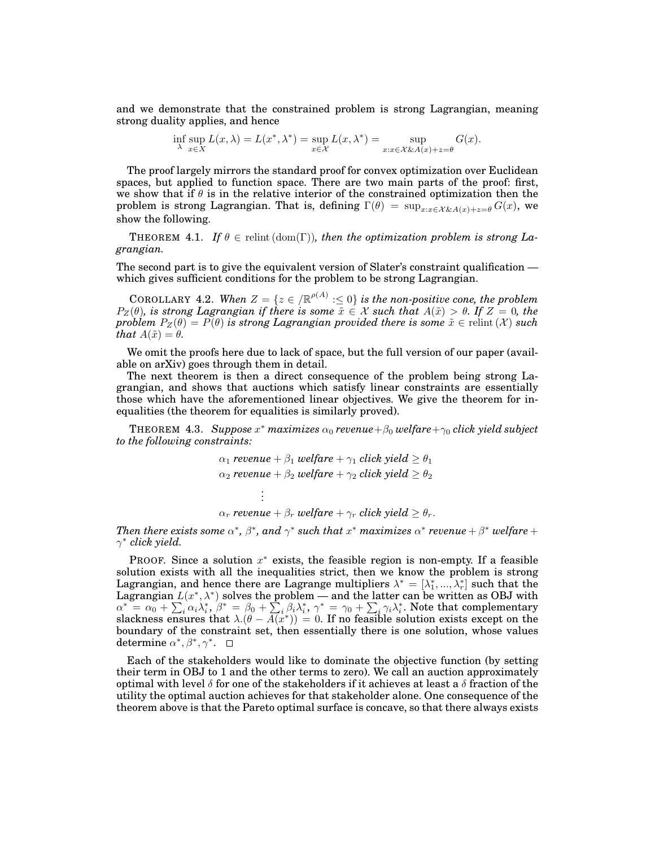and we demonstrate that the constrained problem is strong Lagrangian, meaning strong duality applies, and hence

$$
\inf_{\lambda} \sup_{x \in X} L(x, \lambda) = L(x^*, \lambda^*) = \sup_{x \in \mathcal{X}} L(x, \lambda^*) = \sup_{x: x \in \mathcal{X} \& A(x) + z = \theta} G(x).
$$

The proof largely mirrors the standard proof for convex optimization over Euclidean spaces, but applied to function space. There are two main parts of the proof: first, we show that if *θ* is in the relative interior of the constrained optimization then the problem is strong Lagrangian. That is, defining  $\Gamma(\theta) = \sup_{x:x \in \mathcal{X}\&\mathcal{A}(x)+z=\theta} G(x)$ , we show the following.

**THEOREM** 4.1. If  $\theta \in \text{relint}(\text{dom}(\Gamma))$ , then the optimization problem is strong La*grangian.*

The second part is to give the equivalent version of Slater's constraint qualification which gives sufficient conditions for the problem to be strong Lagrangian.

COROLLARY 4.2. When  $Z = \{z \in \mathbb{R}^{p(A)} : \leq 0\}$  is the non-positive cone, the problem  $P_Z(\theta)$ *, is strong Lagrangian if there is some*  $\tilde{x} \in \mathcal{X}$  *such that*  $A(\tilde{x}) > \theta$ *. If*  $Z = 0$ *, the problem*  $P_Z(\theta) = P(\theta)$  *is strong Lagrangian provided there is some*  $\tilde{x} \in$  relint (*X*) *such*  $\tilde{t}$ *hat*  $A(\tilde{x}) = \theta$ .

We omit the proofs here due to lack of space, but the full version of our paper (available on arXiv) goes through them in detail.

The next theorem is then a direct consequence of the problem being strong Lagrangian, and shows that auctions which satisfy linear constraints are essentially those which have the aforementioned linear objectives. We give the theorem for inequalities (the theorem for equalities is similarly proved).

THEOREM 4.3. *Suppose x <sup>∗</sup> maximizes α*<sup>0</sup> *revenue*+*β*<sup>0</sup> *welfare*+*γ*<sup>0</sup> *click yield subject to the following constraints:*

$$
\alpha_1 \text{ revenue} + \beta_1 \text{ welfare} + \gamma_1 \text{ click yield} \ge \theta_1
$$
\n
$$
\alpha_2 \text{ revenue} + \beta_2 \text{ welfare} + \gamma_2 \text{ click yield} \ge \theta_2
$$
\n
$$
\vdots
$$
\n
$$
\alpha_r \text{ revenue} + \beta_r \text{ welfare} + \gamma_r \text{ click yield} \ge \theta_r.
$$

Then there exists some  $\alpha^*$ ,  $\beta^*$ , and  $\gamma^*$  such that  $x^*$  maximizes  $\alpha^*$  revenue  $+\,\beta^*$  welfare  $+$ *γ ∗ click yield.*

PROOF. Since a solution *x <sup>∗</sup>* exists, the feasible region is non-empty. If a feasible solution exists with all the inequalities strict, then we know the problem is strong Lagrangian, and hence there are Lagrange multipliers  $\lambda^* = [\lambda_1^*,...,\lambda_r^*]$  such that the Lagrangian  $L(x^*, \lambda^*)$  solves the problem — and the latter can be written as OBJ with  $\alpha^* = \alpha_0 + \sum_i \alpha_i \lambda_i^*, \ \beta^* = \beta_0 + \sum_i \beta_i \lambda_i^*, \ \gamma^* = \gamma_0 + \sum_i \gamma_i \lambda_i^*.$  Note that complementary slackness ensures that  $\lambda.(\theta - A(x^*)) = 0$ . If no feasible solution exists except on the boundary of the constraint set, then essentially there is one solution, whose values determine  $\alpha^*, \beta^*, \gamma^*$ .

Each of the stakeholders would like to dominate the objective function (by setting their term in OBJ to 1 and the other terms to zero). We call an auction approximately optimal with level *δ* for one of the stakeholders if it achieves at least a *δ* fraction of the utility the optimal auction achieves for that stakeholder alone. One consequence of the theorem above is that the Pareto optimal surface is concave, so that there always exists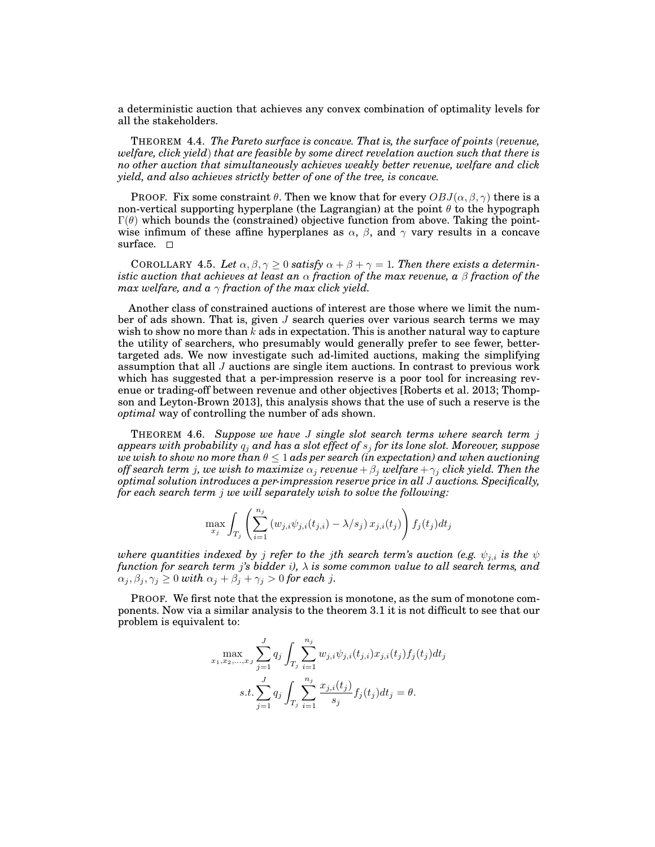a deterministic auction that achieves any convex combination of optimality levels for all the stakeholders.

THEOREM 4.4. *The Pareto surface is concave. That is, the surface of points* (*revenue, welfare, click yield*) *that are feasible by some direct revelation auction such that there is no other auction that simultaneously achieves weakly better revenue, welfare and click yield, and also achieves strictly better of one of the tree, is concave.*

PROOF. Fix some constraint  $\theta$ . Then we know that for every  $OBJ(\alpha, \beta, \gamma)$  there is a non-vertical supporting hyperplane (the Lagrangian) at the point *θ* to the hypograph Γ(*θ*) which bounds the (constrained) objective function from above. Taking the pointwise infimum of these affine hyperplanes as  $\alpha$ ,  $\beta$ , and  $\gamma$  vary results in a concave surface.  $\square$ 

COROLLARY 4.5. Let  $\alpha, \beta, \gamma \geq 0$  satisfy  $\alpha + \beta + \gamma = 1$ . Then there exists a determin*istic auction that achieves at least an α fraction of the max revenue, a β fraction of the max welfare, and a γ fraction of the max click yield.*

Another class of constrained auctions of interest are those where we limit the number of ads shown. That is, given *J* search queries over various search terms we may wish to show no more than *k* ads in expectation. This is another natural way to capture the utility of searchers, who presumably would generally prefer to see fewer, bettertargeted ads. We now investigate such ad-limited auctions, making the simplifying assumption that all *J* auctions are single item auctions. In contrast to previous work which has suggested that a per-impression reserve is a poor tool for increasing revenue or trading-off between revenue and other objectives [Roberts et al. 2013; Thompson and Leyton-Brown 2013], this analysis shows that the use of such a reserve is the *optimal* way of controlling the number of ads shown.

THEOREM 4.6. *Suppose we have J single slot search terms where search term j appears with probability q<sup>j</sup> and has a slot effect of s<sup>j</sup> for its lone slot. Moreover, suppose we wish to show no more than θ ≤* 1 *ads per search (in expectation) and when auctioning off search term*  $j$ *, we wish to maximize*  $\alpha_j$  *revenue* +  $\beta_j$  *welfare* +  $\gamma_j$  *click yield. Then the optimal solution introduces a per-impression reserve price in all J auctions. Specifically, for each search term j we will separately wish to solve the following:*

$$
\max_{x_j} \int_{T_j} \left( \sum_{i=1}^{n_j} \left( w_{j,i} \psi_{j,i}(t_{j,i}) - \lambda/s_j \right) x_{j,i}(t_j) \right) f_j(t_j) dt_j
$$

*where quantities indexed by j refer to the jth search term's auction (e.g.*  $\psi_{j,i}$  *is the*  $\psi$ *function for search term j's bidder i), λ is some common value to all search terms, and*  $\alpha_j, \beta_j, \gamma_j \geq 0$  *with*  $\alpha_j + \beta_j + \gamma_j > 0$  *for each j.* 

PROOF. We first note that the expression is monotone, as the sum of monotone components. Now via a similar analysis to the theorem 3.1 it is not difficult to see that our problem is equivalent to:

$$
\max_{x_1, x_2, \dots, x_J} \sum_{j=1}^J q_j \int_{T_j} \sum_{i=1}^{n_j} w_{j,i} \psi_{j,i}(t_{j,i}) x_{j,i}(t_j) f_j(t_j) dt_j
$$
  
s.t. 
$$
\sum_{j=1}^J q_j \int_{T_j} \sum_{i=1}^{n_j} \frac{x_{j,i}(t_j)}{s_j} f_j(t_j) dt_j = \theta.
$$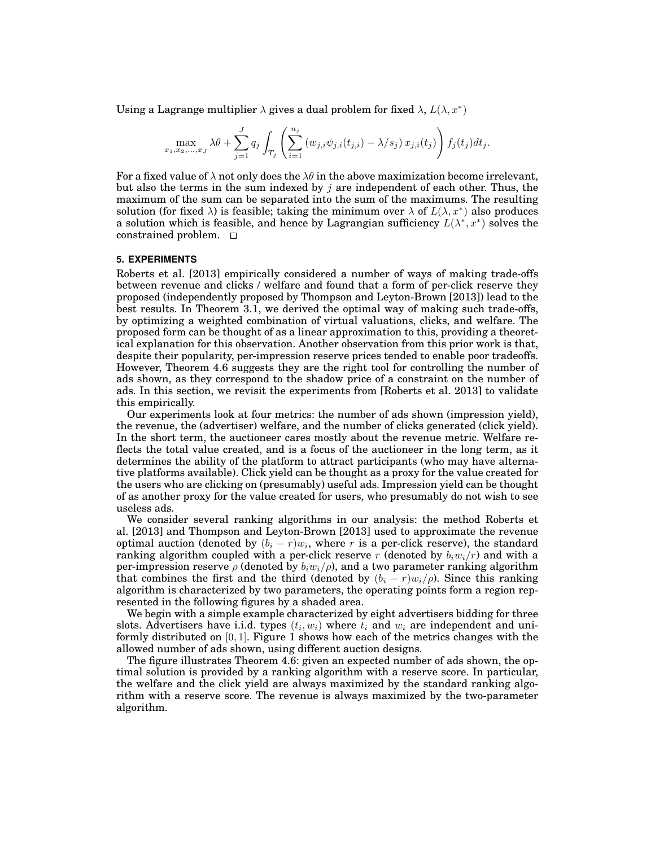Using a Lagrange multiplier  $\lambda$  gives a dual problem for fixed  $\lambda$ ,  $L(\lambda, x^*)$ 

$$
\max_{x_1, x_2, ..., x_J} \lambda \theta + \sum_{j=1}^J q_j \int_{T_j} \left( \sum_{i=1}^{n_j} (w_{j,i} \psi_{j,i}(t_{j,i}) - \lambda/s_j) x_{j,i}(t_j) \right) f_j(t_j) dt_j.
$$

For a fixed value of  $\lambda$  not only does the  $\lambda\theta$  in the above maximization become irrelevant, but also the terms in the sum indexed by *j* are independent of each other. Thus, the maximum of the sum can be separated into the sum of the maximums. The resulting solution (for fixed  $\lambda$ ) is feasible; taking the minimum over  $\lambda$  of  $L(\lambda, x^*)$  also produces a solution which is feasible, and hence by Lagrangian sufficiency  $L(\lambda^*, x^*)$  solves the constrained problem.

## **5. EXPERIMENTS**

Roberts et al. [2013] empirically considered a number of ways of making trade-offs between revenue and clicks / welfare and found that a form of per-click reserve they proposed (independently proposed by Thompson and Leyton-Brown [2013]) lead to the best results. In Theorem 3.1, we derived the optimal way of making such trade-offs, by optimizing a weighted combination of virtual valuations, clicks, and welfare. The proposed form can be thought of as a linear approximation to this, providing a theoretical explanation for this observation. Another observation from this prior work is that, despite their popularity, per-impression reserve prices tended to enable poor tradeoffs. However, Theorem 4.6 suggests they are the right tool for controlling the number of ads shown, as they correspond to the shadow price of a constraint on the number of ads. In this section, we revisit the experiments from [Roberts et al. 2013] to validate this empirically.

Our experiments look at four metrics: the number of ads shown (impression yield), the revenue, the (advertiser) welfare, and the number of clicks generated (click yield). In the short term, the auctioneer cares mostly about the revenue metric. Welfare reflects the total value created, and is a focus of the auctioneer in the long term, as it determines the ability of the platform to attract participants (who may have alternative platforms available). Click yield can be thought as a proxy for the value created for the users who are clicking on (presumably) useful ads. Impression yield can be thought of as another proxy for the value created for users, who presumably do not wish to see useless ads.

We consider several ranking algorithms in our analysis: the method Roberts et al. [2013] and Thompson and Leyton-Brown [2013] used to approximate the revenue optimal auction (denoted by  $(b_i - r)w_i$ , where  $r$  is a per-click reserve), the standard ranking algorithm coupled with a per-click reserve *r* (denoted by  $b_i w_i / r$ ) and with a per-impression reserve  $\rho$  (denoted by  $b_i w_i / \rho$ ), and a two parameter ranking algorithm that combines the first and the third (denoted by  $(b_i - r)w_i/\rho$ ). Since this ranking algorithm is characterized by two parameters, the operating points form a region represented in the following figures by a shaded area.

We begin with a simple example characterized by eight advertisers bidding for three slots. Advertisers have i.i.d. types  $(t_i, w_i)$  where  $t_i$  and  $w_i$  are independent and uniformly distributed on [0*,* 1]. Figure 1 shows how each of the metrics changes with the allowed number of ads shown, using different auction designs.

The figure illustrates Theorem 4.6: given an expected number of ads shown, the optimal solution is provided by a ranking algorithm with a reserve score. In particular, the welfare and the click yield are always maximized by the standard ranking algorithm with a reserve score. The revenue is always maximized by the two-parameter algorithm.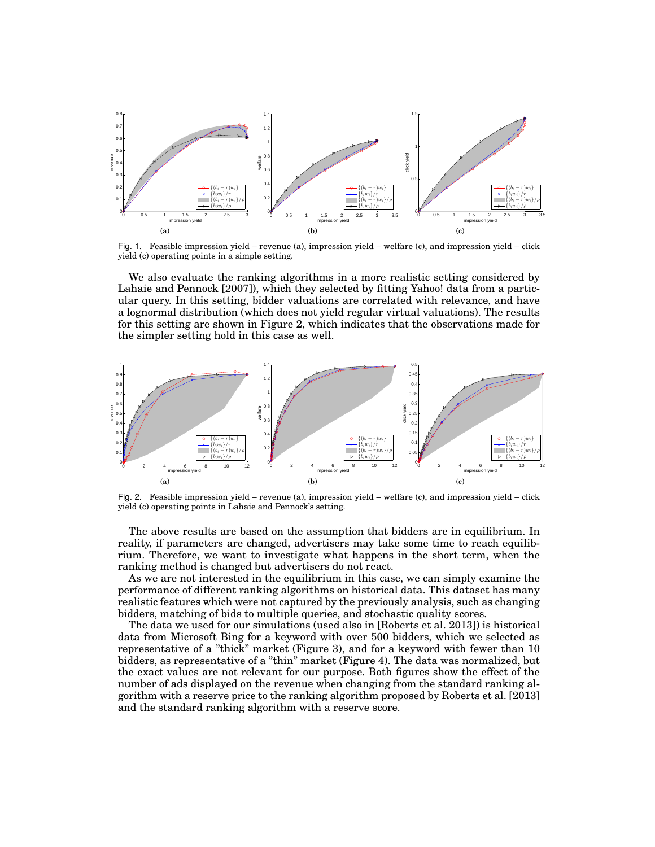

Fig. 1. Feasible impression yield – revenue (a), impression yield – welfare (c), and impression yield – click yield (c) operating points in a simple setting.

We also evaluate the ranking algorithms in a more realistic setting considered by Lahaie and Pennock [2007]), which they selected by fitting Yahoo! data from a particular query. In this setting, bidder valuations are correlated with relevance, and have a lognormal distribution (which does not yield regular virtual valuations). The results for this setting are shown in Figure 2, which indicates that the observations made for the simpler setting hold in this case as well.



Fig. 2. Feasible impression yield – revenue (a), impression yield – welfare (c), and impression yield – click yield (c) operating points in Lahaie and Pennock's setting.

The above results are based on the assumption that bidders are in equilibrium. In reality, if parameters are changed, advertisers may take some time to reach equilibrium. Therefore, we want to investigate what happens in the short term, when the ranking method is changed but advertisers do not react.

As we are not interested in the equilibrium in this case, we can simply examine the performance of different ranking algorithms on historical data. This dataset has many realistic features which were not captured by the previously analysis, such as changing bidders, matching of bids to multiple queries, and stochastic quality scores.

The data we used for our simulations (used also in [Roberts et al. 2013]) is historical data from Microsoft Bing for a keyword with over 500 bidders, which we selected as representative of a "thick" market (Figure 3), and for a keyword with fewer than 10 bidders, as representative of a "thin" market (Figure 4). The data was normalized, but the exact values are not relevant for our purpose. Both figures show the effect of the number of ads displayed on the revenue when changing from the standard ranking algorithm with a reserve price to the ranking algorithm proposed by Roberts et al. [2013] and the standard ranking algorithm with a reserve score.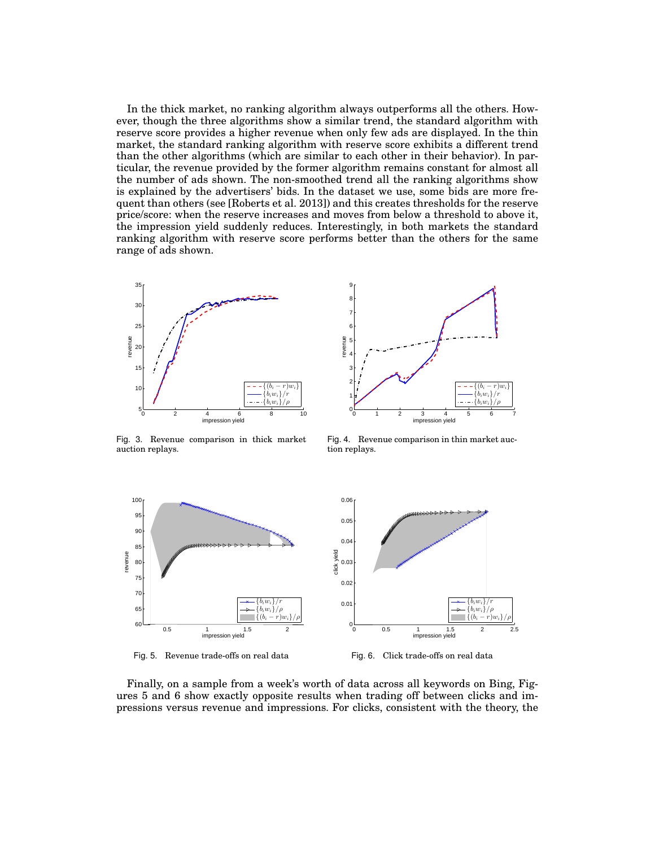In the thick market, no ranking algorithm always outperforms all the others. However, though the three algorithms show a similar trend, the standard algorithm with reserve score provides a higher revenue when only few ads are displayed. In the thin market, the standard ranking algorithm with reserve score exhibits a different trend than the other algorithms (which are similar to each other in their behavior). In particular, the revenue provided by the former algorithm remains constant for almost all the number of ads shown. The non-smoothed trend all the ranking algorithms show is explained by the advertisers' bids. In the dataset we use, some bids are more frequent than others (see [Roberts et al. 2013]) and this creates thresholds for the reserve price/score: when the reserve increases and moves from below a threshold to above it, the impression yield suddenly reduces. Interestingly, in both markets the standard ranking algorithm with reserve score performs better than the others for the same range of ads shown.





Fig. 3. Revenue comparison in thick market auction replays.

Fig. 4. Revenue comparison in thin market auction replays.



Fig. 5. Revenue trade-offs on real data



Finally, on a sample from a week's worth of data across all keywords on Bing, Figures 5 and 6 show exactly opposite results when trading off between clicks and impressions versus revenue and impressions. For clicks, consistent with the theory, the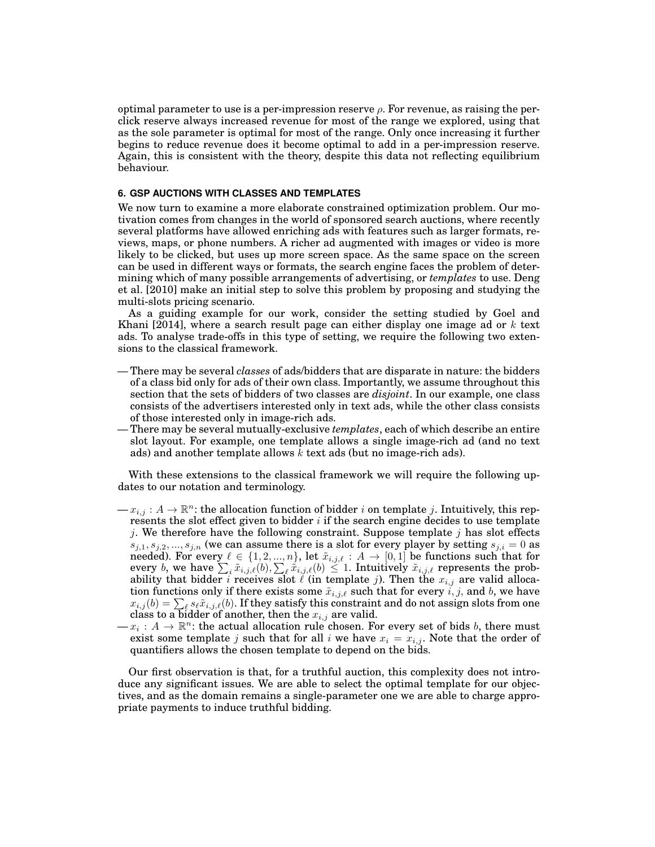optimal parameter to use is a per-impression reserve *ρ*. For revenue, as raising the perclick reserve always increased revenue for most of the range we explored, using that as the sole parameter is optimal for most of the range. Only once increasing it further begins to reduce revenue does it become optimal to add in a per-impression reserve. Again, this is consistent with the theory, despite this data not reflecting equilibrium behaviour.

# **6. GSP AUCTIONS WITH CLASSES AND TEMPLATES**

We now turn to examine a more elaborate constrained optimization problem. Our motivation comes from changes in the world of sponsored search auctions, where recently several platforms have allowed enriching ads with features such as larger formats, reviews, maps, or phone numbers. A richer ad augmented with images or video is more likely to be clicked, but uses up more screen space. As the same space on the screen can be used in different ways or formats, the search engine faces the problem of determining which of many possible arrangements of advertising, or *templates* to use. Deng et al. [2010] make an initial step to solve this problem by proposing and studying the multi-slots pricing scenario.

As a guiding example for our work, consider the setting studied by Goel and Khani [2014], where a search result page can either display one image ad or *k* text ads. To analyse trade-offs in this type of setting, we require the following two extensions to the classical framework.

- There may be several *classes* of ads/bidders that are disparate in nature: the bidders of a class bid only for ads of their own class. Importantly, we assume throughout this section that the sets of bidders of two classes are *disjoint*. In our example, one class consists of the advertisers interested only in text ads, while the other class consists of those interested only in image-rich ads.
- There may be several mutually-exclusive *templates*, each of which describe an entire slot layout. For example, one template allows a single image-rich ad (and no text ads) and another template allows  $\overline{k}$  text ads (but no image-rich ads).

With these extensions to the classical framework we will require the following updates to our notation and terminology.

- $\mathcal{L} = x_{i,j} : A \to \mathbb{R}^n$ : the allocation function of bidder *i* on template *j*. Intuitively, this represents the slot effect given to bidder *i* if the search engine decides to use template *j*. We therefore have the following constraint. Suppose template *j* has slot effects  $s_{j,1}, s_{j,2}, ..., s_{j,n}$  (we can assume there is a slot for every player by setting  $s_{j,i} = 0$  as needed). For every  $\ell \in \{1, 2, ..., n\}$ , let  $\tilde{x}_{i,j,\ell} : A \to [0,1]$  be functions such that for every *b*, we have  $\sum_i \tilde{x}_{i,j,\ell}(b)$ ,  $\sum_{\ell} \tilde{x}_{i,j,\ell}(b) \leq 1$ . Intuitively  $\tilde{x}_{i,j,\ell}$  represents the probability that bidder *i* receives slot  $\ell$  (in template *j*). Then the  $x_{i,j}$  are valid allocation functions only if there exists some  $\tilde{x}_{i,j,\ell}$  such that for every  $i, j$ , and  $b$ , we have  $x_{i,j}(b) = \sum_{\ell} s_{\ell} \tilde{x}_{i,j,\ell}(b)$ . If they satisfy this constraint and do not assign slots from one  $\mathcal{L}_{i,j}(0) = \sum_{\ell} s_{\ell} x_{i,j,\ell}(0)$ . If they satisfy this constraint class to a bidder of another, then the  $x_{i,j}$  are valid.
- $-x_i: A \to \mathbb{R}^n$ : the actual allocation rule chosen. For every set of bids *b*, there must exist some template *j* such that for all *i* we have  $x_i = x_{i,j}$ . Note that the order of quantifiers allows the chosen template to depend on the bids.

Our first observation is that, for a truthful auction, this complexity does not introduce any significant issues. We are able to select the optimal template for our objectives, and as the domain remains a single-parameter one we are able to charge appropriate payments to induce truthful bidding.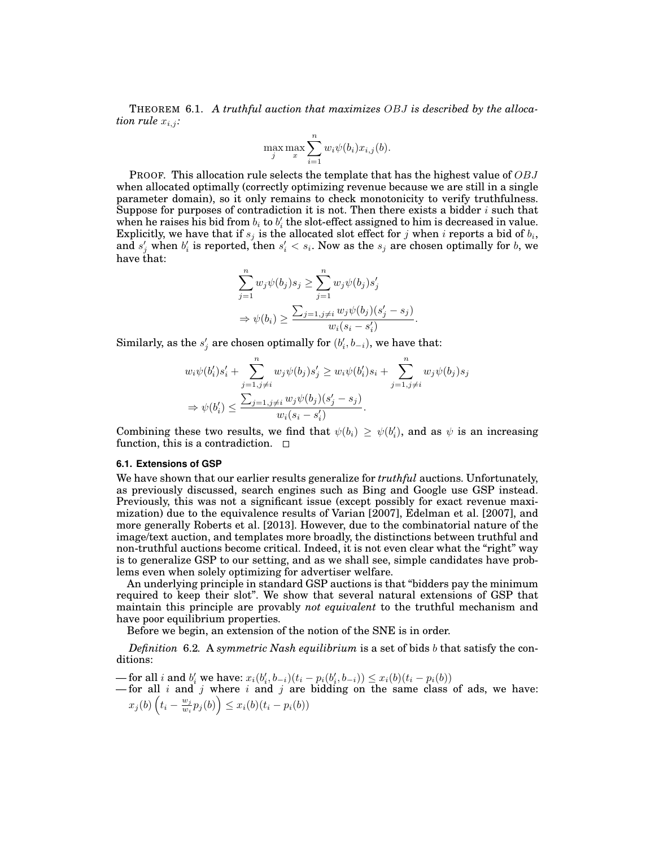THEOREM 6.1. *A truthful auction that maximizes OBJ is described by the allocation rule*  $x_{i,j}$ :

$$
\max_{j} \max_{x} \sum_{i=1}^{n} w_i \psi(b_i) x_{i,j}(b).
$$

PROOF. This allocation rule selects the template that has the highest value of *OBJ* when allocated optimally (correctly optimizing revenue because we are still in a single parameter domain), so it only remains to check monotonicity to verify truthfulness. Suppose for purposes of contradiction it is not. Then there exists a bidder *i* such that when he raises his bid from  $b_i$  to  $b'_i$  the slot-effect assigned to him is decreased in value. Explicitly, we have that if  $s_j$  is the allocated slot effect for  $j$  when  $i$  reports a bid of  $b_i$ , and  $s'_j$  when  $b'_i$  is reported, then  $s'_i < s_i$ . Now as the  $s_j$  are chosen optimally for  $b$ , we have that:

$$
\sum_{j=1}^{n} w_j \psi(b_j) s_j \ge \sum_{j=1}^{n} w_j \psi(b_j) s'_j
$$
  

$$
\Rightarrow \psi(b_i) \ge \frac{\sum_{j=1, j \ne i} w_j \psi(b_j) (s'_j - s_j)}{w_i (s_i - s'_i)}.
$$

 $\textbf{Similarly, as the}\ s'_{j}\ \textbf{are chosen optimally for}\ (b'_{i},b_{-i}),\ \textbf{we have that:}\$ 

$$
w_i \psi(b'_i) s'_i + \sum_{j=1, j \neq i}^n w_j \psi(b_j) s'_j \geq w_i \psi(b'_i) s_i + \sum_{j=1, j \neq i}^n w_j \psi(b_j) s_j \n\Rightarrow \psi(b'_i) \leq \frac{\sum_{j=1, j \neq i} w_j \psi(b_j) (s'_j - s_j)}{w_i (s_i - s'_i)}.
$$

Combining these two results, we find that  $\psi(b_i) \geq \psi(b'_i)$ , and as  $\psi$  is an increasing function, this is a contradiction.  $\Box$ 

#### **6.1. Extensions of GSP**

We have shown that our earlier results generalize for *truthful* auctions. Unfortunately, as previously discussed, search engines such as Bing and Google use GSP instead. Previously, this was not a significant issue (except possibly for exact revenue maximization) due to the equivalence results of Varian [2007], Edelman et al. [2007], and more generally Roberts et al. [2013]. However, due to the combinatorial nature of the image/text auction, and templates more broadly, the distinctions between truthful and non-truthful auctions become critical. Indeed, it is not even clear what the "right" way is to generalize GSP to our setting, and as we shall see, simple candidates have problems even when solely optimizing for advertiser welfare.

An underlying principle in standard GSP auctions is that "bidders pay the minimum required to keep their slot". We show that several natural extensions of GSP that maintain this principle are provably *not equivalent* to the truthful mechanism and have poor equilibrium properties.

Before we begin, an extension of the notion of the SNE is in order.

*Definition* 6.2*.* A *symmetric Nash equilibrium* is a set of bids *b* that satisfy the conditions:

- for all *i* and  $b'_i$  we have:  $x_i(b'_i, b_{-i})(t_i - p_i(b'_i, b_{-i})) \le x_i(b)(t_i - p_i(b))$ 

— for all *i* and *j* where *i* and *j* are bidding on the same class of ads, we have:  $x_j(b)$   $\left(t_i - \frac{w_j}{w_i}\right)$  $\left(\frac{w_j}{w_i}p_j(b)\right) \leq x_i(b)(t_i - p_i(b))$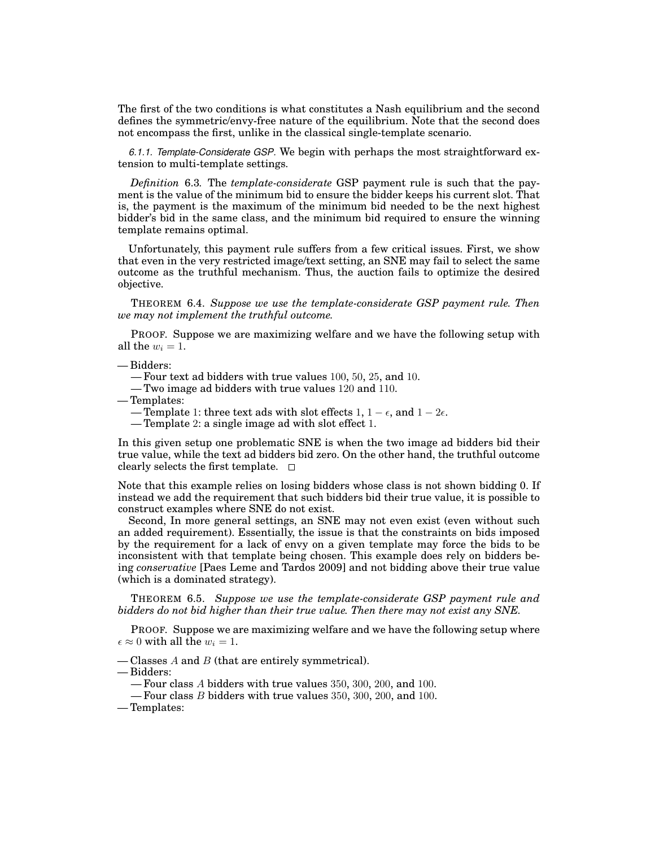The first of the two conditions is what constitutes a Nash equilibrium and the second defines the symmetric/envy-free nature of the equilibrium. Note that the second does not encompass the first, unlike in the classical single-template scenario.

*6.1.1. Template-Considerate GSP.* We begin with perhaps the most straightforward extension to multi-template settings.

*Definition* 6.3*.* The *template-considerate* GSP payment rule is such that the payment is the value of the minimum bid to ensure the bidder keeps his current slot. That is, the payment is the maximum of the minimum bid needed to be the next highest bidder's bid in the same class, and the minimum bid required to ensure the winning template remains optimal.

Unfortunately, this payment rule suffers from a few critical issues. First, we show that even in the very restricted image/text setting, an SNE may fail to select the same outcome as the truthful mechanism. Thus, the auction fails to optimize the desired objective.

THEOREM 6.4. *Suppose we use the template-considerate GSP payment rule. Then we may not implement the truthful outcome.*

PROOF. Suppose we are maximizing welfare and we have the following setup with all the  $w_i = 1$ .

— Bidders:

— Four text ad bidders with true values 100, 50, 25, and 10.

- Two image ad bidders with true values 120 and 110.
- Templates:
	- Template 1: three text ads with slot effects  $1, 1 \epsilon$ , and  $1 2\epsilon$ .
	- Template 2: a single image ad with slot effect 1.

In this given setup one problematic SNE is when the two image ad bidders bid their true value, while the text ad bidders bid zero. On the other hand, the truthful outcome clearly selects the first template.  $\square$ 

Note that this example relies on losing bidders whose class is not shown bidding 0. If instead we add the requirement that such bidders bid their true value, it is possible to construct examples where SNE do not exist.

Second, In more general settings, an SNE may not even exist (even without such an added requirement). Essentially, the issue is that the constraints on bids imposed by the requirement for a lack of envy on a given template may force the bids to be inconsistent with that template being chosen. This example does rely on bidders being *conservative* [Paes Leme and Tardos 2009] and not bidding above their true value (which is a dominated strategy).

THEOREM 6.5. *Suppose we use the template-considerate GSP payment rule and bidders do not bid higher than their true value. Then there may not exist any SNE.*

PROOF. Suppose we are maximizing welfare and we have the following setup where  $\epsilon \approx 0$  with all the  $w_i = 1$ .

— Classes *A* and *B* (that are entirely symmetrical).

— Bidders:

— Four class *A* bidders with true values 350, 300, 200, and 100.

— Four class *B* bidders with true values 350, 300, 200, and 100.

— Templates: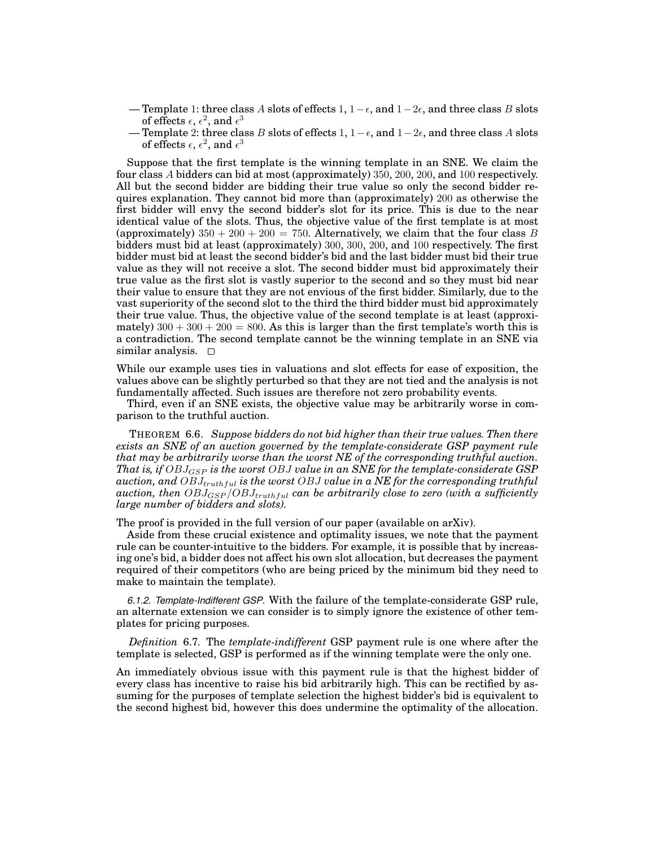- Template 1: three class *A* slots of effects 1, 1*−ϵ*, and 1*−*2*ϵ*, and three class *B* slots of effects  $\epsilon, \, \epsilon^2,$  and  $\epsilon^3$
- Template 2: three class *B* slots of effects 1, 1*−ϵ*, and 1*−*2*ϵ*, and three class *A* slots of effects  $\epsilon, \, \epsilon^2,$  and  $\epsilon^3$

Suppose that the first template is the winning template in an SNE. We claim the four class *A* bidders can bid at most (approximately) 350, 200, 200, and 100 respectively. All but the second bidder are bidding their true value so only the second bidder requires explanation. They cannot bid more than (approximately) 200 as otherwise the first bidder will envy the second bidder's slot for its price. This is due to the near identical value of the slots. Thus, the objective value of the first template is at most (approximately)  $350 + 200 + 200 = 750$ . Alternatively, we claim that the four class *B* bidders must bid at least (approximately) 300, 300, 200, and 100 respectively. The first bidder must bid at least the second bidder's bid and the last bidder must bid their true value as they will not receive a slot. The second bidder must bid approximately their true value as the first slot is vastly superior to the second and so they must bid near their value to ensure that they are not envious of the first bidder. Similarly, due to the vast superiority of the second slot to the third the third bidder must bid approximately their true value. Thus, the objective value of the second template is at least (approximately)  $300 + 300 + 200 = 800$ . As this is larger than the first template's worth this is a contradiction. The second template cannot be the winning template in an SNE via similar analysis.  $\square$ 

While our example uses ties in valuations and slot effects for ease of exposition, the values above can be slightly perturbed so that they are not tied and the analysis is not fundamentally affected. Such issues are therefore not zero probability events.

Third, even if an SNE exists, the objective value may be arbitrarily worse in comparison to the truthful auction.

THEOREM 6.6. *Suppose bidders do not bid higher than their true values. Then there exists an SNE of an auction governed by the template-considerate GSP payment rule that may be arbitrarily worse than the worst NE of the corresponding truthful auction. That is, if OBJGSP is the worst OBJ value in an SNE for the template-considerate GSP auction, and OBJtruthful is the worst OBJ value in a NE for the corresponding truthful auction, then*  $OBJ_{GSP}/OBJ_{truthful}$  *can be arbitrarily close to zero (with a sufficiently large number of bidders and slots).*

The proof is provided in the full version of our paper (available on arXiv).

Aside from these crucial existence and optimality issues, we note that the payment rule can be counter-intuitive to the bidders. For example, it is possible that by increasing one's bid, a bidder does not affect his own slot allocation, but decreases the payment required of their competitors (who are being priced by the minimum bid they need to make to maintain the template).

*6.1.2. Template-Indifferent GSP.* With the failure of the template-considerate GSP rule, an alternate extension we can consider is to simply ignore the existence of other templates for pricing purposes.

*Definition* 6.7*.* The *template-indifferent* GSP payment rule is one where after the template is selected, GSP is performed as if the winning template were the only one.

An immediately obvious issue with this payment rule is that the highest bidder of every class has incentive to raise his bid arbitrarily high. This can be rectified by assuming for the purposes of template selection the highest bidder's bid is equivalent to the second highest bid, however this does undermine the optimality of the allocation.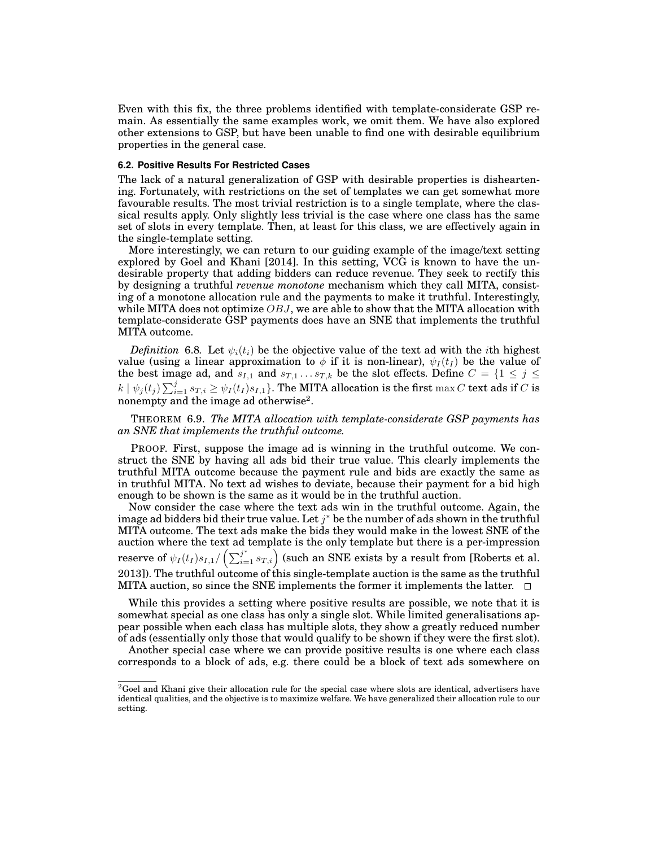Even with this fix, the three problems identified with template-considerate GSP remain. As essentially the same examples work, we omit them. We have also explored other extensions to GSP, but have been unable to find one with desirable equilibrium properties in the general case.

### **6.2. Positive Results For Restricted Cases**

The lack of a natural generalization of GSP with desirable properties is disheartening. Fortunately, with restrictions on the set of templates we can get somewhat more favourable results. The most trivial restriction is to a single template, where the classical results apply. Only slightly less trivial is the case where one class has the same set of slots in every template. Then, at least for this class, we are effectively again in the single-template setting.

More interestingly, we can return to our guiding example of the image/text setting explored by Goel and Khani [2014]. In this setting, VCG is known to have the undesirable property that adding bidders can reduce revenue. They seek to rectify this by designing a truthful *revenue monotone* mechanism which they call MITA, consisting of a monotone allocation rule and the payments to make it truthful. Interestingly, while MITA does not optimize *OBJ*, we are able to show that the MITA allocation with template-considerate GSP payments does have an SNE that implements the truthful MITA outcome.

*Definition* 6.8. Let  $\psi_i(t_i)$  be the objective value of the text ad with the *i*th highest value (using a linear approximation to  $\phi$  if it is non-linear),  $\psi_I(t_I)$  be the value of the best image ad, and  $s_{I,1}$  and  $s_{T,1} \ldots s_{T,k}$  be the slot effects. Define  $C = \{1 \leq j \leq n\}$  $k\mid \psi_j(t_j)\sum_{i=1}^j s_{T,i}\geq \psi_I(t_I)s_{I,1}\}.$  The MITA allocation is the first  $\max C$  text ads if  $C$  is nonempty and the image ad otherwise<sup>2</sup>.

THEOREM 6.9. *The MITA allocation with template-considerate GSP payments has an SNE that implements the truthful outcome.*

PROOF. First, suppose the image ad is winning in the truthful outcome. We construct the SNE by having all ads bid their true value. This clearly implements the truthful MITA outcome because the payment rule and bids are exactly the same as in truthful MITA. No text ad wishes to deviate, because their payment for a bid high enough to be shown is the same as it would be in the truthful auction.

Now consider the case where the text ads win in the truthful outcome. Again, the image ad bidders bid their true value. Let *j <sup>∗</sup>* be the number of ads shown in the truthful MITA outcome. The text ads make the bids they would make in the lowest SNE of the auction where the text ad template is the only template but there is a per-impression reserve of  $\psi_I(t_I) s_{I,1}/\left(\sum_{i=1}^j s_{T,i}\right)$  (such an SNE exists by a result from [Roberts et al. 2013]). The truthful outcome of this single-template auction is the same as the truthful MITA auction, so since the SNE implements the former it implements the latter.  $\Box$ 

While this provides a setting where positive results are possible, we note that it is somewhat special as one class has only a single slot. While limited generalisations appear possible when each class has multiple slots, they show a greatly reduced number of ads (essentially only those that would qualify to be shown if they were the first slot).

Another special case where we can provide positive results is one where each class corresponds to a block of ads, e.g. there could be a block of text ads somewhere on

 ${}^{2}$ Goel and Khani give their allocation rule for the special case where slots are identical, advertisers have identical qualities, and the objective is to maximize welfare. We have generalized their allocation rule to our setting.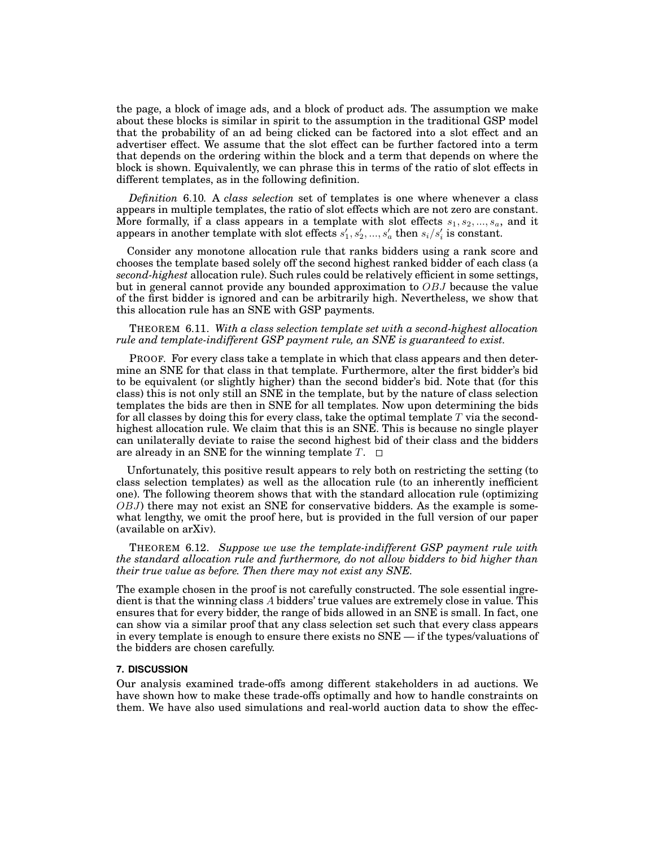the page, a block of image ads, and a block of product ads. The assumption we make about these blocks is similar in spirit to the assumption in the traditional GSP model that the probability of an ad being clicked can be factored into a slot effect and an advertiser effect. We assume that the slot effect can be further factored into a term that depends on the ordering within the block and a term that depends on where the block is shown. Equivalently, we can phrase this in terms of the ratio of slot effects in different templates, as in the following definition.

*Definition* 6.10*.* A *class selection* set of templates is one where whenever a class appears in multiple templates, the ratio of slot effects which are not zero are constant. More formally, if a class appears in a template with slot effects  $s_1, s_2, ..., s_a$ , and it  $a$  appears in another template with slot effects  $s'_1, s'_2, ..., s'_a$  then  $s_i/s'_i$  is constant.

Consider any monotone allocation rule that ranks bidders using a rank score and chooses the template based solely off the second highest ranked bidder of each class (a *second-highest* allocation rule). Such rules could be relatively efficient in some settings, but in general cannot provide any bounded approximation to *OBJ* because the value of the first bidder is ignored and can be arbitrarily high. Nevertheless, we show that this allocation rule has an SNE with GSP payments.

# THEOREM 6.11. *With a class selection template set with a second-highest allocation rule and template-indifferent GSP payment rule, an SNE is guaranteed to exist.*

PROOF. For every class take a template in which that class appears and then determine an SNE for that class in that template. Furthermore, alter the first bidder's bid to be equivalent (or slightly higher) than the second bidder's bid. Note that (for this class) this is not only still an SNE in the template, but by the nature of class selection templates the bids are then in SNE for all templates. Now upon determining the bids for all classes by doing this for every class, take the optimal template *T* via the secondhighest allocation rule. We claim that this is an SNE. This is because no single player can unilaterally deviate to raise the second highest bid of their class and the bidders are already in an SNE for the winning template  $T$ .  $\Box$ 

Unfortunately, this positive result appears to rely both on restricting the setting (to class selection templates) as well as the allocation rule (to an inherently inefficient one). The following theorem shows that with the standard allocation rule (optimizing *OBJ*) there may not exist an SNE for conservative bidders. As the example is somewhat lengthy, we omit the proof here, but is provided in the full version of our paper (available on arXiv).

THEOREM 6.12. *Suppose we use the template-indifferent GSP payment rule with the standard allocation rule and furthermore, do not allow bidders to bid higher than their true value as before. Then there may not exist any SNE.*

The example chosen in the proof is not carefully constructed. The sole essential ingredient is that the winning class *A* bidders' true values are extremely close in value. This ensures that for every bidder, the range of bids allowed in an SNE is small. In fact, one can show via a similar proof that any class selection set such that every class appears in every template is enough to ensure there exists no SNE — if the types/valuations of the bidders are chosen carefully.

## **7. DISCUSSION**

Our analysis examined trade-offs among different stakeholders in ad auctions. We have shown how to make these trade-offs optimally and how to handle constraints on them. We have also used simulations and real-world auction data to show the effec